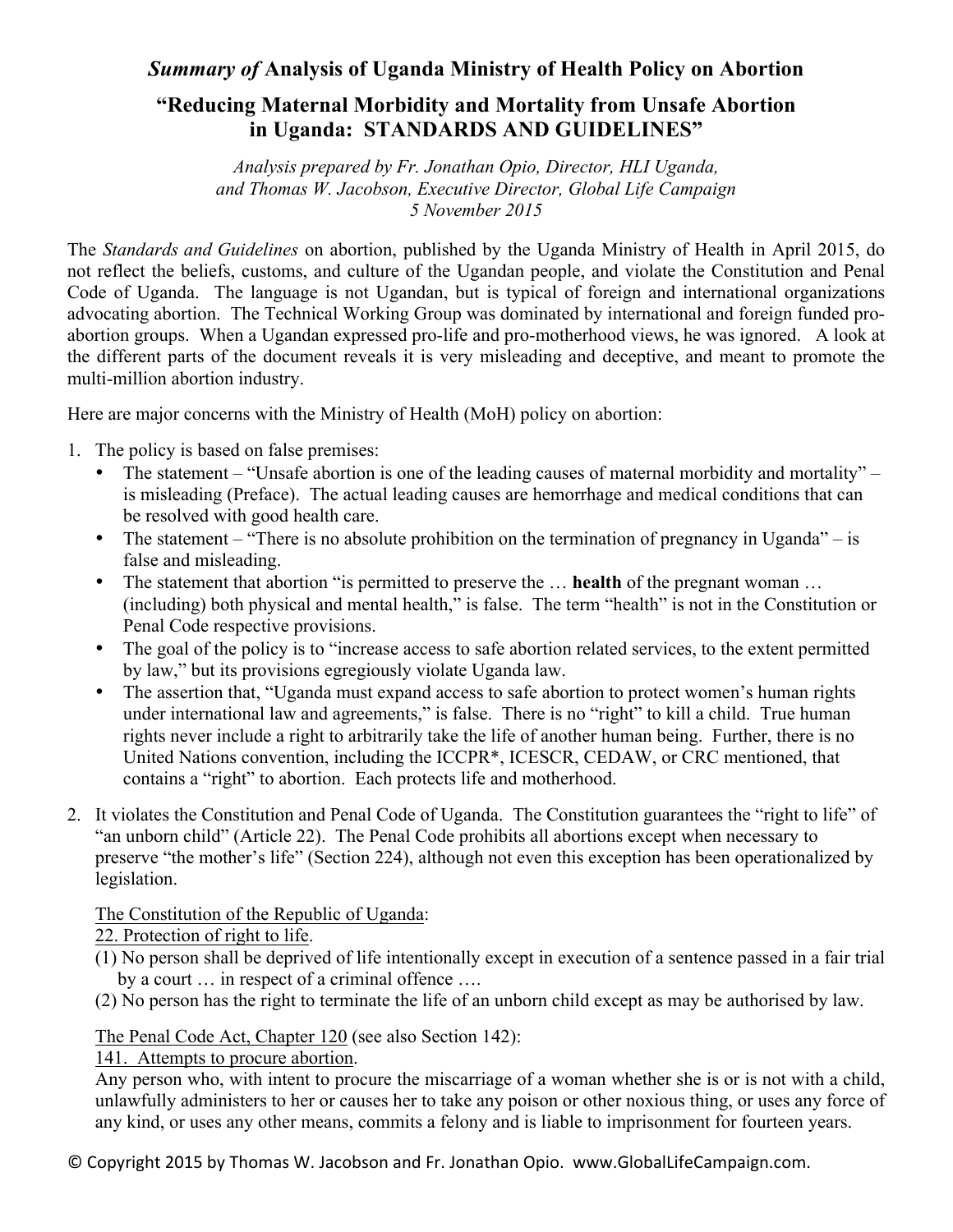## *Summary of* **Analysis of Uganda Ministry of Health Policy on Abortion**

## **"Reducing Maternal Morbidity and Mortality from Unsafe Abortion in Uganda: STANDARDS AND GUIDELINES"**

*Analysis prepared by Fr. Jonathan Opio, Director, HLI Uganda, and Thomas W. Jacobson, Executive Director, Global Life Campaign 5 November 2015*

The *Standards and Guidelines* on abortion, published by the Uganda Ministry of Health in April 2015, do not reflect the beliefs, customs, and culture of the Ugandan people, and violate the Constitution and Penal Code of Uganda. The language is not Ugandan, but is typical of foreign and international organizations advocating abortion. The Technical Working Group was dominated by international and foreign funded proabortion groups. When a Ugandan expressed pro-life and pro-motherhood views, he was ignored. A look at the different parts of the document reveals it is very misleading and deceptive, and meant to promote the multi-million abortion industry.

Here are major concerns with the Ministry of Health (MoH) policy on abortion:

- 1. The policy is based on false premises:
	- The statement "Unsafe abortion is one of the leading causes of maternal morbidity and mortality" is misleading (Preface). The actual leading causes are hemorrhage and medical conditions that can be resolved with good health care.
	- The statement "There is no absolute prohibition on the termination of pregnancy in Uganda" is false and misleading.
	- The statement that abortion "is permitted to preserve the … **health** of the pregnant woman … (including) both physical and mental health," is false. The term "health" is not in the Constitution or Penal Code respective provisions.
	- The goal of the policy is to "increase access to safe abortion related services, to the extent permitted by law," but its provisions egregiously violate Uganda law.
	- The assertion that, "Uganda must expand access to safe abortion to protect women's human rights under international law and agreements," is false. There is no "right" to kill a child. True human rights never include a right to arbitrarily take the life of another human being. Further, there is no United Nations convention, including the ICCPR\*, ICESCR, CEDAW, or CRC mentioned, that contains a "right" to abortion. Each protects life and motherhood.
- 2. It violates the Constitution and Penal Code of Uganda. The Constitution guarantees the "right to life" of "an unborn child" (Article 22). The Penal Code prohibits all abortions except when necessary to preserve "the mother's life" (Section 224), although not even this exception has been operationalized by legislation.

## The Constitution of the Republic of Uganda:

## 22. Protection of right to life.

- (1) No person shall be deprived of life intentionally except in execution of a sentence passed in a fair trial by a court … in respect of a criminal offence ….
- (2) No person has the right to terminate the life of an unborn child except as may be authorised by law.

The Penal Code Act, Chapter 120 (see also Section 142):

141. Attempts to procure abortion.

Any person who, with intent to procure the miscarriage of a woman whether she is or is not with a child, unlawfully administers to her or causes her to take any poison or other noxious thing, or uses any force of any kind, or uses any other means, commits a felony and is liable to imprisonment for fourteen years.

© Copyright 2015 by Thomas W. Jacobson and Fr. Jonathan Opio. www.GlobalLifeCampaign.com.